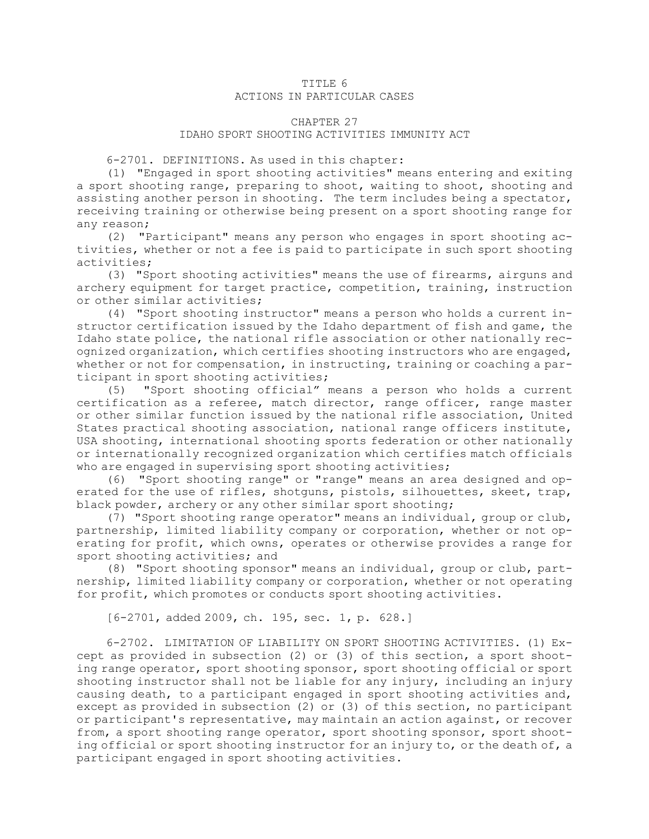## TITLE 6 ACTIONS IN PARTICULAR CASES

## CHAPTER 27

## IDAHO SPORT SHOOTING ACTIVITIES IMMUNITY ACT

6-2701. DEFINITIONS. As used in this chapter:

(1) "Engaged in sport shooting activities" means entering and exiting <sup>a</sup> sport shooting range, preparing to shoot, waiting to shoot, shooting and assisting another person in shooting. The term includes being <sup>a</sup> spectator, receiving training or otherwise being present on <sup>a</sup> sport shooting range for any reason;

(2) "Participant" means any person who engages in sport shooting activities, whether or not <sup>a</sup> fee is paid to participate in such sport shooting activities;

(3) "Sport shooting activities" means the use of firearms, airguns and archery equipment for target practice, competition, training, instruction or other similar activities;

(4) "Sport shooting instructor" means <sup>a</sup> person who holds <sup>a</sup> current instructor certification issued by the Idaho department of fish and game, the Idaho state police, the national rifle association or other nationally recognized organization, which certifies shooting instructors who are engaged, whether or not for compensation, in instructing, training or coaching a participant in sport shooting activities;

(5) "Sport shooting official" means <sup>a</sup> person who holds <sup>a</sup> current certification as <sup>a</sup> referee, match director, range officer, range master or other similar function issued by the national rifle association, United States practical shooting association, national range officers institute, USA shooting, international shooting sports federation or other nationally or internationally recognized organization which certifies match officials who are engaged in supervising sport shooting activities;

(6) "Sport shooting range" or "range" means an area designed and operated for the use of rifles, shotguns, pistols, silhouettes, skeet, trap, black powder, archery or any other similar sport shooting;

(7) "Sport shooting range operator" means an individual, group or club, partnership, limited liability company or corporation, whether or not operating for profit, which owns, operates or otherwise provides <sup>a</sup> range for sport shooting activities; and

(8) "Sport shooting sponsor" means an individual, group or club, partnership, limited liability company or corporation, whether or not operating for profit, which promotes or conducts sport shooting activities.

[6-2701, added 2009, ch. 195, sec. 1, p. 628.]

6-2702. LIMITATION OF LIABILITY ON SPORT SHOOTING ACTIVITIES. (1) Except as provided in subsection (2) or (3) of this section, <sup>a</sup> sport shooting range operator, sport shooting sponsor, sport shooting official or sport shooting instructor shall not be liable for any injury, including an injury causing death, to <sup>a</sup> participant engaged in sport shooting activities and, except as provided in subsection (2) or (3) of this section, no participant or participant's representative, may maintain an action against, or recover from, a sport shooting range operator, sport shooting sponsor, sport shooting official or sport shooting instructor for an injury to, or the death of, <sup>a</sup> participant engaged in sport shooting activities.